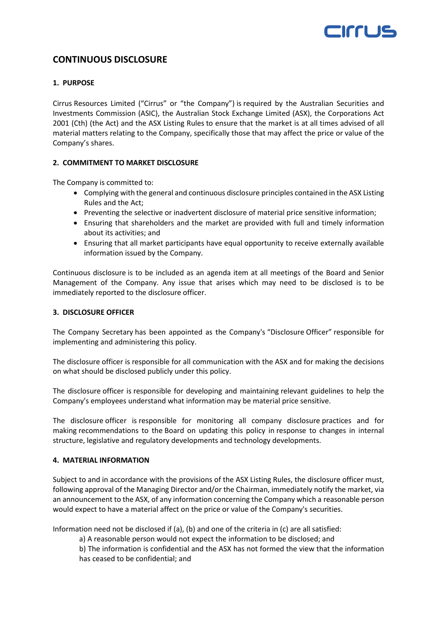

# **CONTINUOUS DISCLOSURE**

# **1. PURPOSE**

Cirrus Resources Limited ("Cirrus" or "the Company") is required by the Australian Securities and Investments Commission (ASIC), the Australian Stock Exchange Limited (ASX), the Corporations Act 2001 (Cth) (the Act) and the ASX Listing Rules to ensure that the market is at all times advised of all material matters relating to the Company, specifically those that may affect the price or value of the Company's shares.

# **2. COMMITMENT TO MARKET DISCLOSURE**

The Company is committed to:

- Complying with the general and continuous disclosure principles contained in the ASX Listing Rules and the Act;
- Preventing the selective or inadvertent disclosure of material price sensitive information;
- Ensuring that shareholders and the market are provided with full and timely information about its activities; and
- Ensuring that all market participants have equal opportunity to receive externally available information issued by the Company.

Continuous disclosure is to be included as an agenda item at all meetings of the Board and Senior Management of the Company. Any issue that arises which may need to be disclosed is to be immediately reported to the disclosure officer.

#### **3. DISCLOSURE OFFICER**

The Company Secretary has been appointed as the Company's "Disclosure Officer" responsible for implementing and administering this policy.

The disclosure officer is responsible for all communication with the ASX and for making the decisions on what should be disclosed publicly under this policy.

The disclosure officer is responsible for developing and maintaining relevant guidelines to help the Company's employees understand what information may be material price sensitive.

The disclosure officer is responsible for monitoring all company disclosure practices and for making recommendations to the Board on updating this policy in response to changes in internal structure, legislative and regulatory developments and technology developments.

# **4. MATERIAL INFORMATION**

Subject to and in accordance with the provisions of the ASX Listing Rules, the disclosure officer must, following approval of the Managing Director and/or the Chairman, immediately notify the market, via an announcement to the ASX, of any information concerning the Company which a reasonable person would expect to have a material affect on the price or value of the Company's securities.

Information need not be disclosed if (a), (b) and one of the criteria in (c) are all satisfied:

a) A reasonable person would not expect the information to be disclosed; and

b) The information is confidential and the ASX has not formed the view that the information has ceased to be confidential; and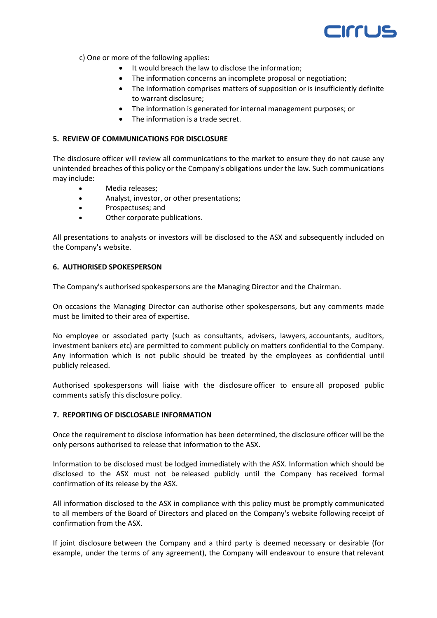

c) One or more of the following applies:

- It would breach the law to disclose the information;
- The information concerns an incomplete proposal or negotiation:
- The information comprises matters of supposition or is insufficiently definite to warrant disclosure;
- The information is generated for internal management purposes; or
- The information is a trade secret.

# **5. REVIEW OF COMMUNICATIONS FOR DISCLOSURE**

The disclosure officer will review all communications to the market to ensure they do not cause any unintended breaches of this policy or the Company's obligations under the law. Such communications may include:

- Media releases;
- Analyst, investor, or other presentations;
- Prospectuses; and
- Other corporate publications.

All presentations to analysts or investors will be disclosed to the ASX and subsequently included on the Company's website.

#### **6. AUTHORISED SPOKESPERSON**

The Company's authorised spokespersons are the Managing Director and the Chairman.

On occasions the Managing Director can authorise other spokespersons, but any comments made must be limited to their area of expertise.

No employee or associated party (such as consultants, advisers, lawyers, accountants, auditors, investment bankers etc) are permitted to comment publicly on matters confidential to the Company. Any information which is not public should be treated by the employees as confidential until publicly released.

Authorised spokespersons will liaise with the disclosure officer to ensure all proposed public comments satisfy this disclosure policy.

# **7. REPORTING OF DISCLOSABLE INFORMATION**

Once the requirement to disclose information has been determined, the disclosure officer will be the only persons authorised to release that information to the ASX.

Information to be disclosed must be lodged immediately with the ASX. Information which should be disclosed to the ASX must not be released publicly until the Company has received formal confirmation of its release by the ASX.

All information disclosed to the ASX in compliance with this policy must be promptly communicated to all members of the Board of Directors and placed on the Company's website following receipt of confirmation from the ASX.

If joint disclosure between the Company and a third party is deemed necessary or desirable (for example, under the terms of any agreement), the Company will endeavour to ensure that relevant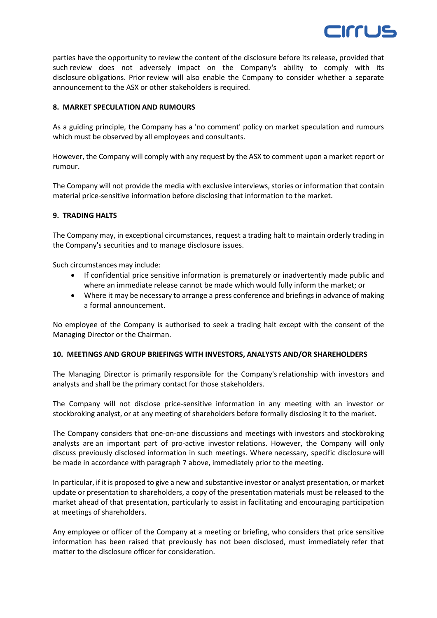

parties have the opportunity to review the content of the disclosure before its release, provided that such review does not adversely impact on the Company's ability to comply with its disclosure obligations. Prior review will also enable the Company to consider whether a separate announcement to the ASX or other stakeholders is required.

# **8. MARKET SPECULATION AND RUMOURS**

As a guiding principle, the Company has a 'no comment' policy on market speculation and rumours which must be observed by all employees and consultants.

However, the Company will comply with any request by the ASX to comment upon a market report or rumour.

The Company will not provide the media with exclusive interviews, stories or information that contain material price-sensitive information before disclosing that information to the market.

#### **9. TRADING HALTS**

The Company may, in exceptional circumstances, request a trading halt to maintain orderly trading in the Company's securities and to manage disclosure issues.

Such circumstances may include:

- If confidential price sensitive information is prematurely or inadvertently made public and where an immediate release cannot be made which would fully inform the market; or
- Where it may be necessary to arrange a press conference and briefings in advance of making a formal announcement.

No employee of the Company is authorised to seek a trading halt except with the consent of the Managing Director or the Chairman.

# **10. MEETINGS AND GROUP BRIEFINGS WITH INVESTORS, ANALYSTS AND/OR SHAREHOLDERS**

The Managing Director is primarily responsible for the Company's relationship with investors and analysts and shall be the primary contact for those stakeholders.

The Company will not disclose price-sensitive information in any meeting with an investor or stockbroking analyst, or at any meeting of shareholders before formally disclosing it to the market.

The Company considers that one-on-one discussions and meetings with investors and stockbroking analysts are an important part of pro-active investor relations. However, the Company will only discuss previously disclosed information in such meetings. Where necessary, specific disclosure will be made in accordance with paragraph 7 above, immediately prior to the meeting.

In particular, if it is proposed to give a new and substantive investor or analyst presentation, or market update or presentation to shareholders, a copy of the presentation materials must be released to the market ahead of that presentation, particularly to assist in facilitating and encouraging participation at meetings of shareholders.

Any employee or officer of the Company at a meeting or briefing, who considers that price sensitive information has been raised that previously has not been disclosed, must immediately refer that matter to the disclosure officer for consideration.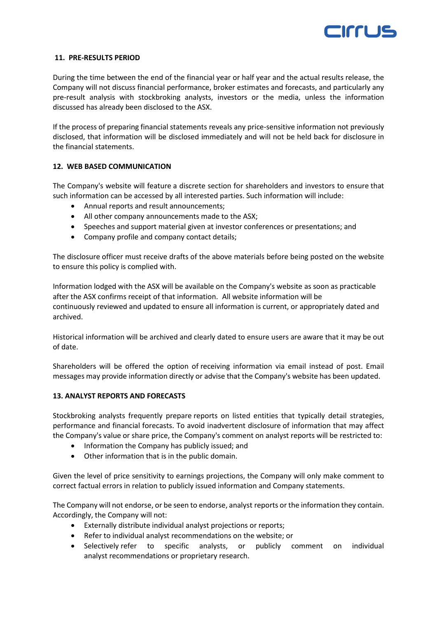

#### **11. PRE-RESULTS PERIOD**

During the time between the end of the financial year or half year and the actual results release, the Company will not discuss financial performance, broker estimates and forecasts, and particularly any pre-result analysis with stockbroking analysts, investors or the media, unless the information discussed has already been disclosed to the ASX.

If the process of preparing financial statements reveals any price-sensitive information not previously disclosed, that information will be disclosed immediately and will not be held back for disclosure in the financial statements.

# **12. WEB BASED COMMUNICATION**

The Company's website will feature a discrete section for shareholders and investors to ensure that such information can be accessed by all interested parties. Such information will include:

- Annual reports and result announcements;
- All other company announcements made to the ASX;
- Speeches and support material given at investor conferences or presentations; and
- Company profile and company contact details;

The disclosure officer must receive drafts of the above materials before being posted on the website to ensure this policy is complied with.

Information lodged with the ASX will be available on the Company's website as soon as practicable after the ASX confirms receipt of that information. All website information will be continuously reviewed and updated to ensure all information is current, or appropriately dated and archived.

Historical information will be archived and clearly dated to ensure users are aware that it may be out of date.

Shareholders will be offered the option of receiving information via email instead of post. Email messages may provide information directly or advise that the Company's website has been updated.

# **13. ANALYST REPORTS AND FORECASTS**

Stockbroking analysts frequently prepare reports on listed entities that typically detail strategies, performance and financial forecasts. To avoid inadvertent disclosure of information that may affect the Company's value or share price, the Company's comment on analyst reports will be restricted to:

- Information the Company has publicly issued; and
- Other information that is in the public domain.

Given the level of price sensitivity to earnings projections, the Company will only make comment to correct factual errors in relation to publicly issued information and Company statements.

The Company will not endorse, or be seen to endorse, analyst reports or the information they contain. Accordingly, the Company will not:

- Externally distribute individual analyst projections or reports;
- Refer to individual analyst recommendations on the website; or
- Selectively refer to specific analysts, or publicly comment on individual analyst recommendations or proprietary research.